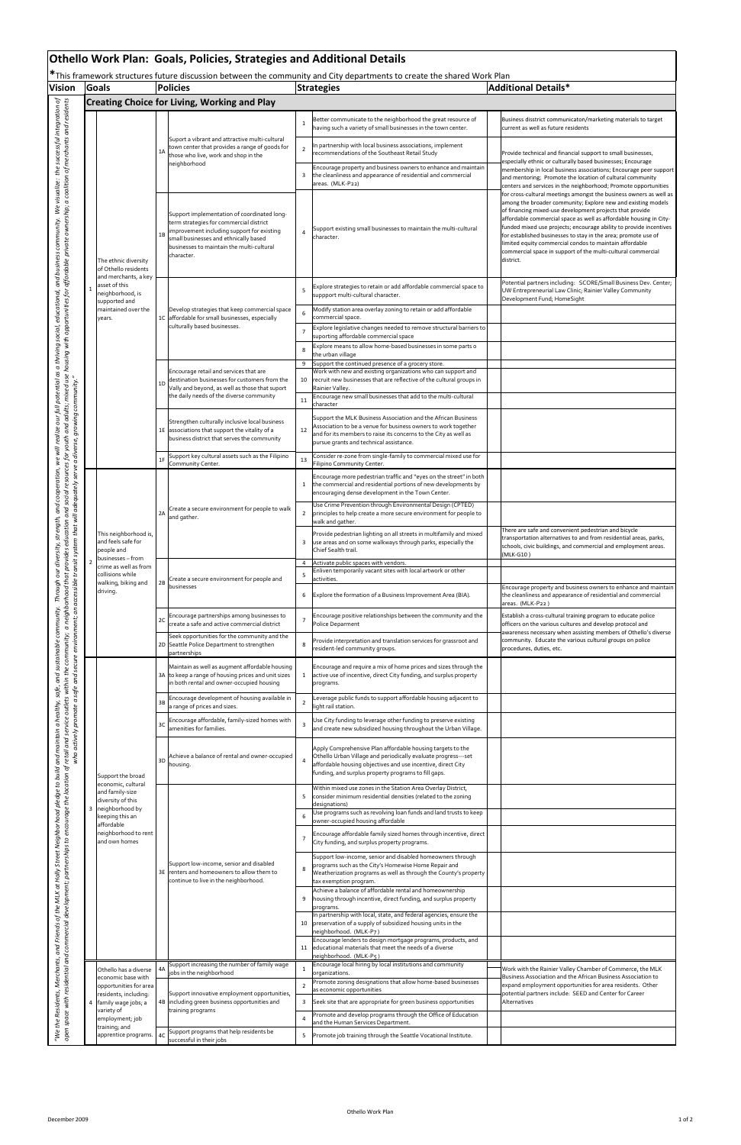| <b>Vision</b>                                                                                                                                 |                               | Goals                                                                                                                                                                   |                                                                                                 | <b>Policies</b>                                                                                                                                                                                                                          |                                                                                     | This framework structures future discussion between the community and City departments to create the shared work Plan<br><b>Strategies</b>                                                                                                           | <b>Additional Details*</b>                                                                                                                                                                                                                                                                                                                                                                                                                                                                                                                           |  |  |
|-----------------------------------------------------------------------------------------------------------------------------------------------|-------------------------------|-------------------------------------------------------------------------------------------------------------------------------------------------------------------------|-------------------------------------------------------------------------------------------------|------------------------------------------------------------------------------------------------------------------------------------------------------------------------------------------------------------------------------------------|-------------------------------------------------------------------------------------|------------------------------------------------------------------------------------------------------------------------------------------------------------------------------------------------------------------------------------------------------|------------------------------------------------------------------------------------------------------------------------------------------------------------------------------------------------------------------------------------------------------------------------------------------------------------------------------------------------------------------------------------------------------------------------------------------------------------------------------------------------------------------------------------------------------|--|--|
|                                                                                                                                               |                               |                                                                                                                                                                         | <b>Creating Choice for Living, Working and Play</b>                                             |                                                                                                                                                                                                                                          |                                                                                     |                                                                                                                                                                                                                                                      |                                                                                                                                                                                                                                                                                                                                                                                                                                                                                                                                                      |  |  |
|                                                                                                                                               |                               |                                                                                                                                                                         |                                                                                                 |                                                                                                                                                                                                                                          |                                                                                     |                                                                                                                                                                                                                                                      |                                                                                                                                                                                                                                                                                                                                                                                                                                                                                                                                                      |  |  |
| resources for youth and adults; mixed use housing with opportunities for affordable private ownership; a coalition of merchants and residents |                               |                                                                                                                                                                         |                                                                                                 | Suport a vibrant and attractive multi-cultural                                                                                                                                                                                           | $\mathbf{1}$                                                                        | Better communicate to the neighborhood the great resource of<br>having such a variety of small businesses in the town center.                                                                                                                        | Business disstrict communicaton/marketing materials to target<br>current as well as future residents                                                                                                                                                                                                                                                                                                                                                                                                                                                 |  |  |
|                                                                                                                                               |                               |                                                                                                                                                                         | 1A                                                                                              | town center that provides a range of goods for<br>those who live, work and shop in the<br>neighborhood                                                                                                                                   | $\overline{2}$                                                                      | n partnership with local business associations, implement<br>recommendations of the Southeast Retail Study                                                                                                                                           | Provide technical and financial support to small businesses,<br>especially ethnic or culturally based businesses; Encourage                                                                                                                                                                                                                                                                                                                                                                                                                          |  |  |
|                                                                                                                                               |                               |                                                                                                                                                                         |                                                                                                 |                                                                                                                                                                                                                                          | 3                                                                                   | Encourage property and business owners to enhance and maintain<br>the cleanliness and appearance of residential and commercial<br>areas. (MLK-P22)                                                                                                   | membership in local business associations; Encourage peer support<br>and mentoring; Promote the location of cultural community<br>centers and services in the neighborhood; Promote opportunities                                                                                                                                                                                                                                                                                                                                                    |  |  |
|                                                                                                                                               |                               | The ethnic diversity<br>of Othello residents                                                                                                                            | 1B                                                                                              | Support implementation of coordinated long-<br>term strategies for commercial district<br>improvement including support for existing<br>small businesses and ethnically based<br>businesses to maintain the multi-cultural<br>character. | $\overline{4}$                                                                      | Support existing small businesses to maintain the multi-cultural<br>character.                                                                                                                                                                       | for cross-cultural meetings amongst the business owners as well as<br>among the broader community; Explore new and existing models<br>of financing mixed-use development projects that provide<br>affordable commercial space as well as affordable housing in City-<br>funded mixed use projects; encourage ability to provide incentives<br>for established businesses to stay in the area; promote use of<br>limited equity commercial condos to maintain affordable<br>commercial space in support of the multi-cultural commercial<br>district. |  |  |
|                                                                                                                                               | 1                             | and merchants, a key<br>asset of this<br>neighborhood, is<br>supported and                                                                                              |                                                                                                 |                                                                                                                                                                                                                                          | 5                                                                                   | Explore strategies to retain or add affordable commercial space to<br>suppport multi-cultural character.                                                                                                                                             | Potential partners including: SCORE/Small Business Dev. Center;<br>UW Entrepreneurial Law Clinic; Rainier Valley Community<br>Development Fund; HomeSight                                                                                                                                                                                                                                                                                                                                                                                            |  |  |
|                                                                                                                                               | maintained over the<br>years. |                                                                                                                                                                         | Develop strategies that keep commercial space<br>1C affordable for small businesses, especially | 6                                                                                                                                                                                                                                        | Modify station area overlay zoning to retain or add affordable<br>commercial space. |                                                                                                                                                                                                                                                      |                                                                                                                                                                                                                                                                                                                                                                                                                                                                                                                                                      |  |  |
|                                                                                                                                               |                               |                                                                                                                                                                         |                                                                                                 | culturally based businesses.                                                                                                                                                                                                             | $\overline{7}$<br>8                                                                 | Explore legislative changes needed to remove structural barriers to<br>suporting affordable commercial space<br>Explore means to allow home-based businesses in some parts o<br>the urban village                                                    |                                                                                                                                                                                                                                                                                                                                                                                                                                                                                                                                                      |  |  |
|                                                                                                                                               |                               |                                                                                                                                                                         | 1D                                                                                              | Encourage retail and services that are<br>destination businesses for customers from the<br>Vally and beyond, as well as those that suport<br>the daily needs of the diverse community                                                    | 9<br>10                                                                             | Support the continued presence of a grocery store.<br>Work with new and existing organizations who can support and<br>recruit new businesses that are reflective of the cultural groups in<br>Rainier Valley.                                        |                                                                                                                                                                                                                                                                                                                                                                                                                                                                                                                                                      |  |  |
|                                                                                                                                               |                               |                                                                                                                                                                         |                                                                                                 |                                                                                                                                                                                                                                          | 11                                                                                  | Encourage new small businesses that add to the multi-cultural<br>character                                                                                                                                                                           |                                                                                                                                                                                                                                                                                                                                                                                                                                                                                                                                                      |  |  |
|                                                                                                                                               |                               |                                                                                                                                                                         |                                                                                                 | Strengthen culturally inclusive local business<br>1E associations that support the vitality of a<br>business district that serves the community                                                                                          | 12                                                                                  | Support the MLK Business Association and the African Business<br>Association to be a venue for business owners to work together<br>and for its members to raise its concerns to the City as well as<br>pursue grants and technical assistance.       |                                                                                                                                                                                                                                                                                                                                                                                                                                                                                                                                                      |  |  |
|                                                                                                                                               |                               |                                                                                                                                                                         | 1F                                                                                              | Support key cultural assets such as the Filipino<br>Community Center.                                                                                                                                                                    | 13                                                                                  | Consider re-zone from single-family to commercial mixed use for<br>Filipino Community Center.                                                                                                                                                        |                                                                                                                                                                                                                                                                                                                                                                                                                                                                                                                                                      |  |  |
|                                                                                                                                               |                               | This neighborhood is,<br>and feels safe for<br>people and<br>businesses - from<br>crime as well as from<br>collisions while<br>walking, biking and<br>driving.          | 2A                                                                                              | Create a secure environment for people to walk<br>and gather.                                                                                                                                                                            | 1                                                                                   | Encourage more pedestrian traffic and "eyes on the street" in both<br>the commercial and residential portions of new developments by<br>encouraging dense development in the Town Center.                                                            |                                                                                                                                                                                                                                                                                                                                                                                                                                                                                                                                                      |  |  |
|                                                                                                                                               |                               |                                                                                                                                                                         |                                                                                                 |                                                                                                                                                                                                                                          | $\overline{2}$                                                                      | Use Crime Prevention through Environmental Design (CPTED)<br>principles to help create a more secure environment for people to<br>walk and gather.                                                                                                   |                                                                                                                                                                                                                                                                                                                                                                                                                                                                                                                                                      |  |  |
|                                                                                                                                               |                               |                                                                                                                                                                         |                                                                                                 |                                                                                                                                                                                                                                          | 3                                                                                   | Provide pedestrian lighting on all streets in multifamily and mixed<br>use areas and on some walkways through parks, especially the<br>Chief Sealth trail.                                                                                           | There are safe and convenient pedestrian and bicycle<br>transportation alternatives to and from residential areas, parks,<br>schools, civic buildings, and commercial and employment areas.<br>(MLK-G10)                                                                                                                                                                                                                                                                                                                                             |  |  |
|                                                                                                                                               |                               |                                                                                                                                                                         | 2B                                                                                              | Create a secure environment for people and<br>businesses                                                                                                                                                                                 | 4<br>5                                                                              | Activate public spaces with vendors.<br>Enliven temporarily vacant sites with local artwork or other                                                                                                                                                 |                                                                                                                                                                                                                                                                                                                                                                                                                                                                                                                                                      |  |  |
|                                                                                                                                               |                               |                                                                                                                                                                         |                                                                                                 |                                                                                                                                                                                                                                          | 6                                                                                   | activities.<br>Explore the formation of a Business Improvement Area (BIA).                                                                                                                                                                           | Encourage property and business owners to enhance and maintain<br>the cleanliness and appearance of residential and commercial                                                                                                                                                                                                                                                                                                                                                                                                                       |  |  |
|                                                                                                                                               |                               |                                                                                                                                                                         | 2C                                                                                              | Encourage partnerships among businesses to<br>create a safe and active commercial district                                                                                                                                               | $\overline{7}$                                                                      | Encourage positive relationships between the community and the<br>Police Deparment                                                                                                                                                                   | areas. (MLK-P22)<br>Establish a cross-cultural training program to educate police<br>officers on the various cultures and develop protocol and                                                                                                                                                                                                                                                                                                                                                                                                       |  |  |
|                                                                                                                                               |                               |                                                                                                                                                                         |                                                                                                 | Seek opportunities for the community and the<br>2D Seattle Police Department to strengthen<br>partnerships                                                                                                                               | 8                                                                                   | Provide interpretation and translation services for grassroot and<br>resident-led community groups.                                                                                                                                                  | awareness necessary when assisting members of Othello's diverse<br>community. Educate the various cultural groups on police<br>procedures, duties, etc.                                                                                                                                                                                                                                                                                                                                                                                              |  |  |
|                                                                                                                                               |                               |                                                                                                                                                                         |                                                                                                 | Maintain as well as augment affordable housing<br>3A to keep a range of housing prices and unit sizes<br>in both rental and owner-occupied housing                                                                                       | $\mathbf{1}$                                                                        | Encourage and require a mix of home prices and sizes through the<br>active use of incentive, direct City funding, and surplus property<br>programs.                                                                                                  |                                                                                                                                                                                                                                                                                                                                                                                                                                                                                                                                                      |  |  |
|                                                                                                                                               |                               |                                                                                                                                                                         | 3B                                                                                              | Encourage development of housing available in<br>a range of prices and sizes.                                                                                                                                                            | $\overline{2}$                                                                      | Leverage public funds to support affordable housing adjacent to<br>light rail station.                                                                                                                                                               |                                                                                                                                                                                                                                                                                                                                                                                                                                                                                                                                                      |  |  |
|                                                                                                                                               |                               |                                                                                                                                                                         | 3C                                                                                              | Encourage affordable, family-sized homes with<br>amenities for families.                                                                                                                                                                 | $\overline{3}$                                                                      | Use City funding to leverage other funding to preserve existing<br>and create new subsidized housing throughout the Urban Village.                                                                                                                   |                                                                                                                                                                                                                                                                                                                                                                                                                                                                                                                                                      |  |  |
|                                                                                                                                               |                               | Support the broad                                                                                                                                                       | 3D                                                                                              | Achieve a balance of rental and owner-occupied<br>housing.                                                                                                                                                                               | $\overline{4}$                                                                      | Apply Comprehensive Plan affordable housing targets to the<br>Othello Urban Village and periodically evaluate progress---set<br>affordable housing objectives and use incentive, direct City<br>funding, and surplus property programs to fill gaps. |                                                                                                                                                                                                                                                                                                                                                                                                                                                                                                                                                      |  |  |
|                                                                                                                                               |                               | economic, cultural<br>and family-size<br>diversity of this<br>3 neighborhood by                                                                                         |                                                                                                 |                                                                                                                                                                                                                                          | 5                                                                                   | Within mixed use zones in the Station Area Overlay District,<br>consider minimum residential densities (related to the zoning<br>designations)<br>Use programs such as revolving loan funds and land trusts to keep                                  |                                                                                                                                                                                                                                                                                                                                                                                                                                                                                                                                                      |  |  |
|                                                                                                                                               |                               | keeping this an<br>affordable<br>neighborhood to rent                                                                                                                   |                                                                                                 |                                                                                                                                                                                                                                          | 6                                                                                   | owner-occupied housing affordable<br>Encourage affordable family sized homes through incentive, direct                                                                                                                                               |                                                                                                                                                                                                                                                                                                                                                                                                                                                                                                                                                      |  |  |
|                                                                                                                                               |                               | and own homes                                                                                                                                                           | 3E                                                                                              | Support low-income, senior and disabled<br>renters and homeowners to allow them to<br>continue to live in the neighborhood.                                                                                                              | $\overline{7}$                                                                      | City funding, and surplus property programs.<br>Support low-income, senior and disabled homeowners through                                                                                                                                           |                                                                                                                                                                                                                                                                                                                                                                                                                                                                                                                                                      |  |  |
|                                                                                                                                               |                               |                                                                                                                                                                         |                                                                                                 |                                                                                                                                                                                                                                          | 8                                                                                   | programs such as the City's Homewise Home Repair and<br>Weatherization programs as well as through the County's property<br>tax exemption program.<br>Achieve a balance of affordable rental and homeownership                                       |                                                                                                                                                                                                                                                                                                                                                                                                                                                                                                                                                      |  |  |
|                                                                                                                                               |                               |                                                                                                                                                                         |                                                                                                 |                                                                                                                                                                                                                                          | 9<br>10                                                                             | housing through incentive, direct funding, and surplus property<br>programs.<br>In partnership with local, state, and federal agencies, ensure the<br>preservation of a supply of subsidized housing units in the                                    |                                                                                                                                                                                                                                                                                                                                                                                                                                                                                                                                                      |  |  |
|                                                                                                                                               |                               |                                                                                                                                                                         |                                                                                                 |                                                                                                                                                                                                                                          |                                                                                     | neighborhood. (MLK-P7)<br>Encourage lenders to design mortgage programs, products, and<br>11 educational materials that meet the needs of a diverse                                                                                                  |                                                                                                                                                                                                                                                                                                                                                                                                                                                                                                                                                      |  |  |
|                                                                                                                                               |                               | Othello has a diverse<br>economic base with<br>opportunities for area<br>residents, including:<br>family wage jobs; a<br>variety of<br>employment; job<br>training; and |                                                                                                 | Support increasing the number of family wage<br>jobs in the neighborhood                                                                                                                                                                 | $\mathbf{1}$                                                                        | neighborhood. (MLK-P5)<br>Encourage local hiring by local institutions and community<br>organizations.                                                                                                                                               | Work with the Rainier Valley Chamber of Commerce, the MLK                                                                                                                                                                                                                                                                                                                                                                                                                                                                                            |  |  |
|                                                                                                                                               |                               |                                                                                                                                                                         |                                                                                                 | Support innovative employment opportunities,                                                                                                                                                                                             | $\overline{2}$                                                                      | Promote zoning designations that allow home-based businesses<br>as economic opportunities                                                                                                                                                            | Business Association and the African Business Association to<br>expand employment opportunities for area residents. Other<br>potential partners include: SEED and Center for Career                                                                                                                                                                                                                                                                                                                                                                  |  |  |
|                                                                                                                                               |                               |                                                                                                                                                                         |                                                                                                 | 4B including green business opportunities and<br>training programs                                                                                                                                                                       | 3                                                                                   | Seek site that are appropriate for green business opportunities                                                                                                                                                                                      | Alternatives                                                                                                                                                                                                                                                                                                                                                                                                                                                                                                                                         |  |  |
|                                                                                                                                               |                               |                                                                                                                                                                         |                                                                                                 | Support programs that help residents be                                                                                                                                                                                                  | $\overline{4}$                                                                      | Promote and develop programs through the Office of Education<br>and the Human Services Department.                                                                                                                                                   |                                                                                                                                                                                                                                                                                                                                                                                                                                                                                                                                                      |  |  |
|                                                                                                                                               |                               | apprentice programs.                                                                                                                                                    | 4C                                                                                              | successful in their jobs                                                                                                                                                                                                                 | 5                                                                                   | Promote job training through the Seattle Vocational Institute.                                                                                                                                                                                       |                                                                                                                                                                                                                                                                                                                                                                                                                                                                                                                                                      |  |  |

## **Othello Work Plan: Goals, Policies, Strategies and Additional Details**

**\***This framework structures future discussion between the community and City departments to create the shared Work Plan